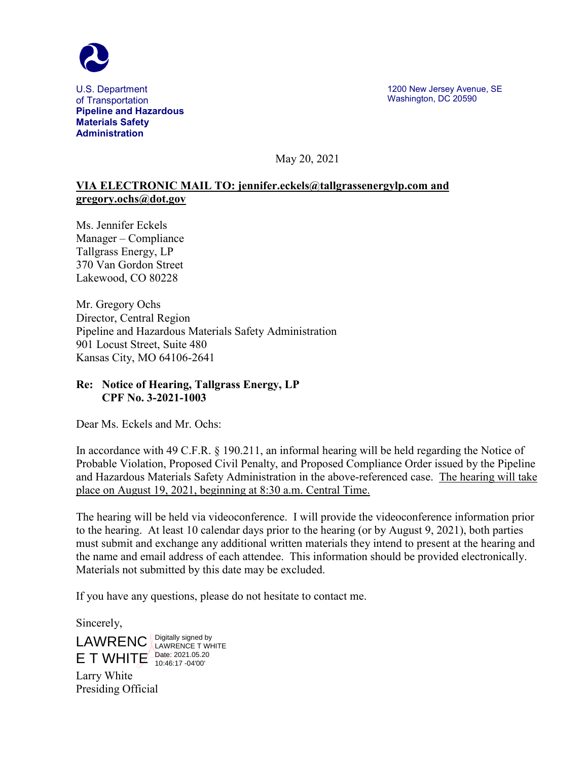

U.S. Department of Transportation **Pipeline and Hazardous Materials Safety Administration**

May 20, 2021

## **VIA ELECTRONIC MAIL TO: jennifer.eckels@tallgrassenergylp.com and gregory.ochs@dot.gov**

Ms. Jennifer Eckels Manager – Compliance Tallgrass Energy, LP 370 Van Gordon Street Lakewood, CO 80228

Mr. Gregory Ochs Director, Central Region Pipeline and Hazardous Materials Safety Administration 901 Locust Street, Suite 480 Kansas City, MO 64106-2641

## **Re: Notice of Hearing, Tallgrass Energy, LP CPF No. 3-2021-1003**

Dear Ms. Eckels and Mr. Ochs:

In accordance with 49 C.F.R. § 190.211, an informal hearing will be held regarding the Notice of Probable Violation, Proposed Civil Penalty, and Proposed Compliance Order issued by the Pipeline and Hazardous Materials Safety Administration in the above-referenced case. The hearing will take place on August 19, 2021, beginning at 8:30 a.m. Central Time.

The hearing will be held via videoconference. I will provide the videoconference information prior to the hearing. At least 10 calendar days prior to the hearing (or by August 9, 2021), both parties must submit and exchange any additional written materials they intend to present at the hearing and the name and email address of each attendee. This information should be provided electronically. Materials not submitted by this date may be excluded.

If you have any questions, please do not hesitate to contact me.

Sincerely,

LAWRENC LAWRENCE T WH

 $E$  T WHITE Date: 2021.05.20 LAWRENCE T WHITE 10:46:17 -04'00'

Larry White Presiding Official